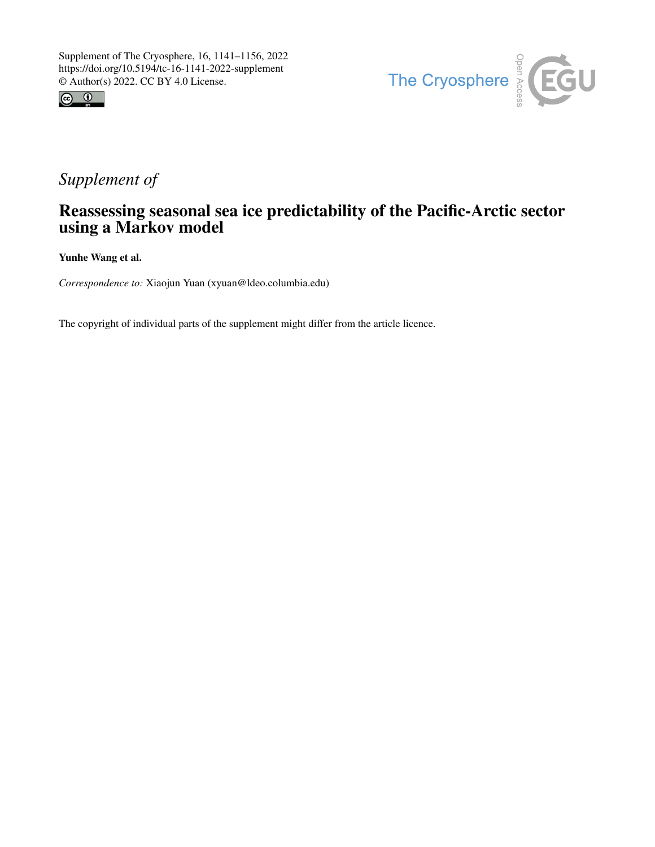



## *Supplement of*

## Reassessing seasonal sea ice predictability of the Pacific-Arctic sector using a Markov model

Yunhe Wang et al.

*Correspondence to:* Xiaojun Yuan (xyuan@ldeo.columbia.edu)

The copyright of individual parts of the supplement might differ from the article licence.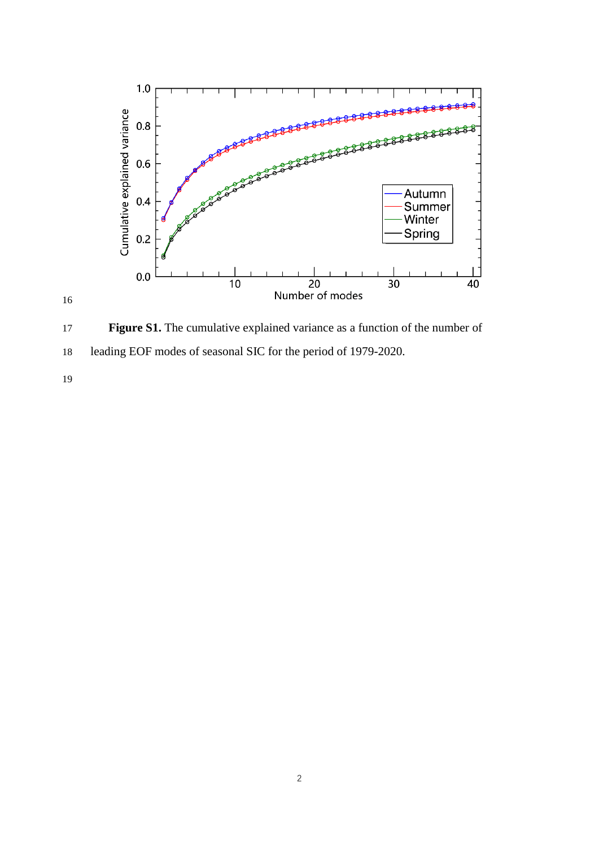

 **Figure S1.** The cumulative explained variance as a function of the number of leading EOF modes of seasonal SIC for the period of 1979-2020.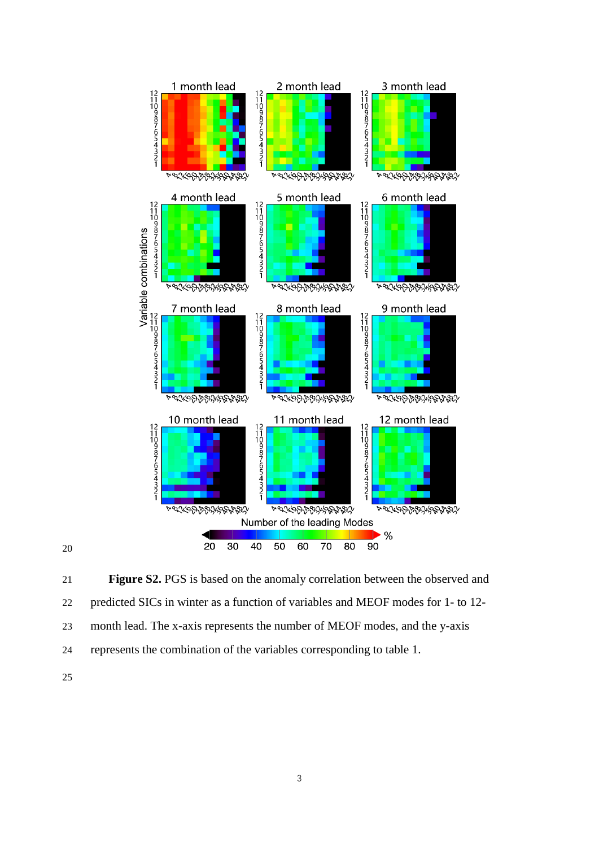

 **Figure S2.** PGS is based on the anomaly correlation between the observed and predicted SICs in winter as a function of variables and MEOF modes for 1- to 12- month lead. The x-axis represents the number of MEOF modes, and the y-axis represents the combination of the variables corresponding to table 1.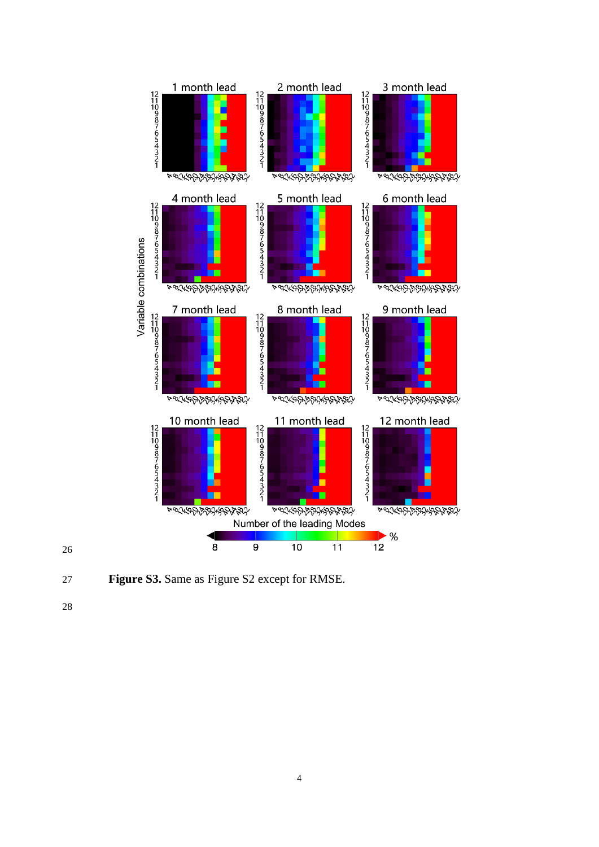

**Figure S3.** Same as Figure S2 except for RMSE.